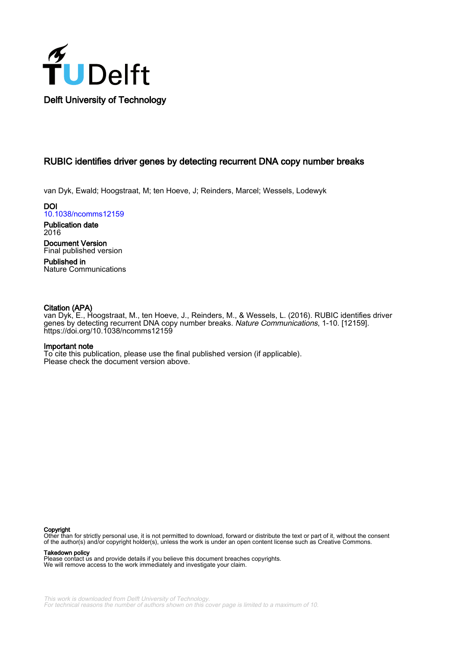

## RUBIC identifies driver genes by detecting recurrent DNA copy number breaks

van Dyk, Ewald; Hoogstraat, M; ten Hoeve, J; Reinders, Marcel; Wessels, Lodewyk

DOI [10.1038/ncomms12159](https://doi.org/10.1038/ncomms12159)

Publication date 2016 Document Version

Final published version

Published in Nature Communications

### Citation (APA)

van Dyk, E., Hoogstraat, M., ten Hoeve, J., Reinders, M., & Wessels, L. (2016). RUBIC identifies driver genes by detecting recurrent DNA copy number breaks. Nature Communications, 1-10. [12159]. <https://doi.org/10.1038/ncomms12159>

#### Important note

To cite this publication, please use the final published version (if applicable). Please check the document version above.

#### Copyright

Other than for strictly personal use, it is not permitted to download, forward or distribute the text or part of it, without the consent of the author(s) and/or copyright holder(s), unless the work is under an open content license such as Creative Commons.

Takedown policy

Please contact us and provide details if you believe this document breaches copyrights. We will remove access to the work immediately and investigate your claim.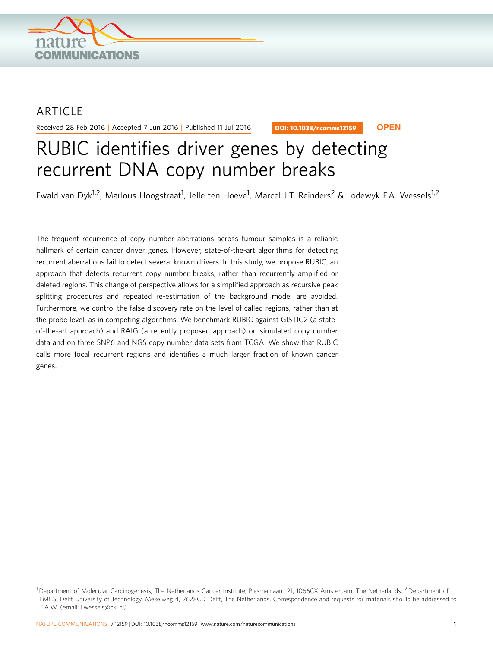

# **ARTICLE**

Received 28 Feb 2016 | Accepted 7 Jun 2016 | Published 11 Jul 2016

DOI: 10.1038/ncomms12159 **OPEN**

# RUBIC identifies driver genes by detecting recurrent DNA copy number breaks

Ewald van Dyk<sup>1,2</sup>, Marlous Hoogstraat<sup>1</sup>, Jelle ten Hoeve<sup>1</sup>, Marcel J.T. Reinders<sup>2</sup> & Lodewyk F.A. Wessels<sup>1,2</sup>

The frequent recurrence of copy number aberrations across tumour samples is a reliable hallmark of certain cancer driver genes. However, state-of-the-art algorithms for detecting recurrent aberrations fail to detect several known drivers. In this study, we propose RUBIC, an approach that detects recurrent copy number breaks, rather than recurrently amplified or deleted regions. This change of perspective allows for a simplified approach as recursive peak splitting procedures and repeated re-estimation of the background model are avoided. Furthermore, we control the false discovery rate on the level of called regions, rather than at the probe level, as in competing algorithms. We benchmark RUBIC against GISTIC2 (a stateof-the-art approach) and RAIG (a recently proposed approach) on simulated copy number data and on three SNP6 and NGS copy number data sets from TCGA. We show that RUBIC calls more focal recurrent regions and identifies a much larger fraction of known cancer genes.

<sup>&</sup>lt;sup>1</sup> Department of Molecular Carcinogenesis, The Netherlands Cancer Institute, Plesmanlaan 121, 1066CX Amsterdam, The Netherlands. <sup>2</sup> Department of EEMCS, Delft University of Technology, Mekelweg 4, 2628CD Delft, The Netherlands. Correspondence and requests for materials should be addressed to L.F.A.W. (email: [l.wessels@nki.nl\)](mailto:l.wessels@nki.nl).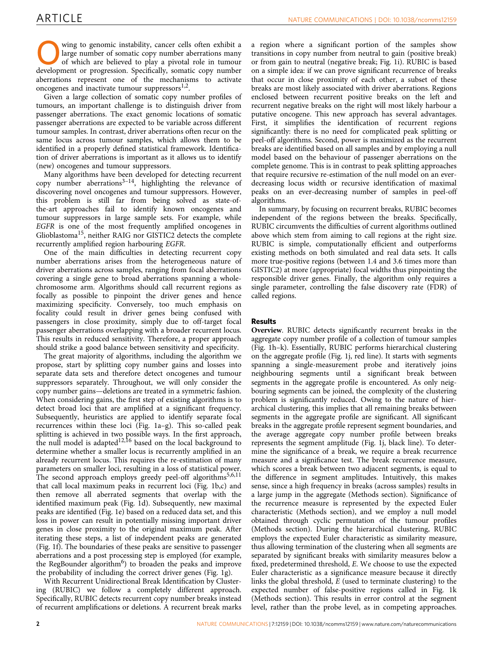wing to genomic instability, cancer cells often exhibit a large number of somatic copy number aberrations many of which are believed to play a pivotal role in tumour development or progression. Specifically, somatic copy number aberrations represent one of the mechanisms to activate oncogenes and inactivate tumour suppressors $1,2$ .

Given a large collection of somatic copy number profiles of tumours, an important challenge is to distinguish driver from passenger aberrations. The exact genomic locations of somatic passenger aberrations are expected to be variable across different tumour samples. In contrast, driver aberrations often recur on the same locus across tumour samples, which allows them to be identified in a properly defined statistical framework. Identification of driver aberrations is important as it allows us to identify (new) oncogenes and tumour suppressors.

Many algorithms have been developed for detecting recurrent copy number aberrations $3-14$ , highlighting the relevance of discovering novel oncogenes and tumour suppressors. However, this problem is still far from being solved as state-ofthe-art approaches fail to identify known oncogenes and tumour suppressors in large sample sets. For example, while EGFR is one of the most frequently amplified oncogenes in Glioblastoma<sup>[15](#page-10-0)</sup>, neither RAIG nor GISTIC2 detects the complete recurrently amplified region harbouring EGFR.

One of the main difficulties in detecting recurrent copy number aberrations arises from the heterogeneous nature of driver aberrations across samples, ranging from focal aberrations covering a single gene to broad aberrations spanning a wholechromosome arm. Algorithms should call recurrent regions as focally as possible to pinpoint the driver genes and hence maximizing specificity. Conversely, too much emphasis on focality could result in driver genes being confused with passengers in close proximity, simply due to off-target focal passenger aberrations overlapping with a broader recurrent locus. This results in reduced sensitivity. Therefore, a proper approach should strike a good balance between sensitivity and specificity.

The great majority of algorithms, including the algorithm we propose, start by splitting copy number gains and losses into separate data sets and therefore detect oncogenes and tumour suppressors separately. Throughout, we will only consider the copy number gains—deletions are treated in a symmetric fashion. When considering gains, the first step of existing algorithms is to detect broad loci that are amplified at a significant frequency. Subsequently, heuristics are applied to identify separate focal recurrences within these loci [\(Fig. 1a–g\)](#page-3-0). This so-called peak splitting is achieved in two possible ways. In the first approach, the null model is adapted<sup>[12,16](#page-10-0)</sup> based on the local background to determine whether a smaller locus is recurrently amplified in an already recurrent locus. This requires the re-estimation of many parameters on smaller loci, resulting in a loss of statistical power. The second approach employs greedy peel-off algorithms<sup>[5,6,11](#page-10-0)</sup> that call local maximum peaks in recurrent loci ([Fig. 1b,c\)](#page-3-0) and then remove all aberrated segments that overlap with the identified maximum peak [\(Fig. 1d\)](#page-3-0). Subsequently, new maximal peaks are identified [\(Fig. 1e](#page-3-0)) based on a reduced data set, and this loss in power can result in potentially missing important driver genes in close proximity to the original maximum peak. After iterating these steps, a list of independent peaks are generated ([Fig. 1f\)](#page-3-0). The boundaries of these peaks are sensitive to passenger aberrations and a post processing step is employed (for example, the RegBounder algorithm<sup>6</sup>) to broaden the peaks and improve the probability of including the correct driver genes ([Fig. 1g\)](#page-3-0).

With Recurrent Unidirectional Break Identification by Clustering (RUBIC) we follow a completely different approach. Specifically, RUBIC detects recurrent copy number breaks instead of recurrent amplifications or deletions. A recurrent break marks a region where a significant portion of the samples show transitions in copy number from neutral to gain (positive break) or from gain to neutral (negative break; [Fig. 1i\)](#page-3-0). RUBIC is based on a simple idea: if we can prove significant recurrence of breaks that occur in close proximity of each other, a subset of these breaks are most likely associated with driver aberrations. Regions enclosed between recurrent positive breaks on the left and recurrent negative breaks on the right will most likely harbour a putative oncogene. This new approach has several advantages. First, it simplifies the identification of recurrent regions significantly: there is no need for complicated peak splitting or peel-off algorithms. Second, power is maximized as the recurrent breaks are identified based on all samples and by employing a null model based on the behaviour of passenger aberrations on the complete genome. This is in contrast to peak splitting approaches that require recursive re-estimation of the null model on an everdecreasing locus width or recursive identification of maximal peaks on an ever-decreasing number of samples in peel-off algorithms.

In summary, by focusing on recurrent breaks, RUBIC becomes independent of the regions between the breaks. Specifically, RUBIC circumvents the difficulties of current algorithms outlined above which stem from aiming to call regions at the right size. RUBIC is simple, computationally efficient and outperforms existing methods on both simulated and real data sets. It calls more true-positive regions (between 1.4 and 3.6 times more than GISTIC2) at more (appropriate) focal widths thus pinpointing the responsible driver genes. Finally, the algorithm only requires a single parameter, controlling the false discovery rate (FDR) of called regions.

#### Results

Overview. RUBIC detects significantly recurrent breaks in the aggregate copy number profile of a collection of tumour samples ([Fig. 1h–k](#page-3-0)). Essentially, RUBIC performs hierarchical clustering on the aggregate profile ([Fig. 1j](#page-3-0), red line). It starts with segments spanning a single-measurement probe and iteratively joins neighbouring segments until a significant break between segments in the aggregate profile is encountered. As only neigbouring segments can be joined, the complexity of the clustering problem is significantly reduced. Owing to the nature of hierarchical clustering, this implies that all remaining breaks between segments in the aggregate profile are significant. All significant breaks in the aggregate profile represent segment boundaries, and the average aggregate copy number profile between breaks represents the segment amplitude [\(Fig. 1j](#page-3-0), black line). To determine the significance of a break, we require a break recurrence measure and a significance test. The break recurrence measure, which scores a break between two adjacent segments, is equal to the difference in segment amplitudes. Intuitively, this makes sense, since a high frequency in breaks (across samples) results in a large jump in the aggregate (Methods section). Significance of the recurrence measure is represented by the expected Euler characteristic (Methods section), and we employ a null model obtained through cyclic permutation of the tumour profiles (Methods section). During the hierarchical clustering, RUBIC employs the expected Euler characteristic as similarity measure, thus allowing termination of the clustering when all segments are separated by significant breaks with similarity measures below a fixed, predetermined threshold, E. We choose to use the expected Euler characteristic as a significance measure because it directly links the global threshold, E (used to terminate clustering) to the expected number of false-positive regions called in [Fig. 1k](#page-3-0) (Methods section). This results in error control at the segment level, rather than the probe level, as in competing approaches.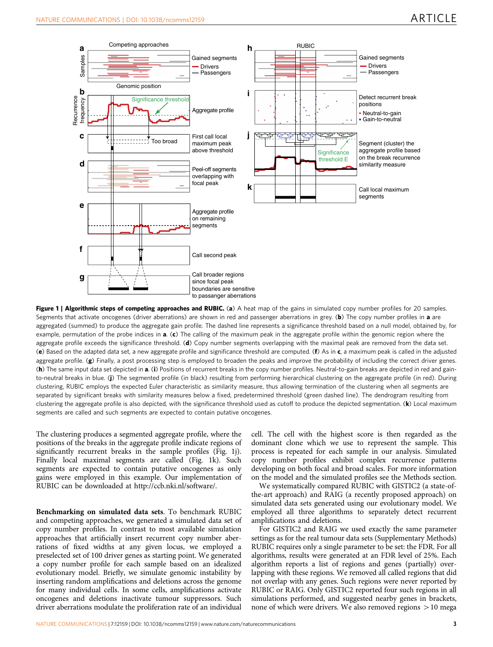<span id="page-3-0"></span>

Figure 1 | Algorithmic steps of competing approaches and RUBIC. (a) A heat map of the gains in simulated copy number profiles for 20 samples. Segments that activate oncogenes (driver aberrations) are shown in red and passenger aberrations in grey. (b) The copy number profiles in a are aggregated (summed) to produce the aggregate gain profile. The dashed line represents a significance threshold based on a null model, obtained by, for example, permutation of the probe indices in  $a. (c)$  The calling of the maximum peak in the aggregate profile within the genomic region where the aggregate profile exceeds the significance threshold. (d) Copy number segments overlapping with the maximal peak are removed from the data set. (e) Based on the adapted data set, a new aggregate profile and significance threshold are computed. (f) As in c, a maximum peak is called in the adjusted aggregate profile.  $(g)$  Finally, a post processing step is employed to broaden the peaks and improve the probability of including the correct driver genes. (h) The same input data set depicted in a. (i) Positions of recurrent breaks in the copy number profiles. Neutral-to-gain breaks are depicted in red and gainto-neutral breaks in blue. (j) The segmented profile (in black) resulting from performing hierarchical clustering on the aggregate profile (in red). During clustering, RUBIC employs the expected Euler characteristic as similarity measure, thus allowing termination of the clustering when all segments are separated by significant breaks with similarity measures below a fixed, predetermined threshold (green dashed line). The dendrogram resulting from clustering the aggregate profile is also depicted, with the significance threshold used as cutoff to produce the depicted segmentation.  $(k)$  Local maximum segments are called and such segments are expected to contain putative oncogenes.

The clustering produces a segmented aggregate profile, where the positions of the breaks in the aggregate profile indicate regions of significantly recurrent breaks in the sample profiles (Fig. 1j). Finally local maximal segments are called (Fig. 1k). Such segments are expected to contain putative oncogenes as only gains were employed in this example. Our implementation of RUBIC can be downloaded at<http://ccb.nki.nl/software/>.

Benchmarking on simulated data sets. To benchmark RUBIC and competing approaches, we generated a simulated data set of copy number profiles. In contrast to most available simulation approaches that artificially insert recurrent copy number aberrations of fixed widths at any given locus, we employed a preselected set of 100 driver genes as starting point. We generated a copy number profile for each sample based on an idealized evolutionary model. Briefly, we simulate genomic instability by inserting random amplifications and deletions across the genome for many individual cells. In some cells, amplifications activate oncogenes and deletions inactivate tumour suppressors. Such driver aberrations modulate the proliferation rate of an individual

cell. The cell with the highest score is then regarded as the dominant clone which we use to represent the sample. This process is repeated for each sample in our analysis. Simulated copy number profiles exhibit complex recurrence patterns developing on both focal and broad scales. For more information on the model and the simulated profiles see the Methods section.

We systematically compared RUBIC with GISTIC2 (a state-ofthe-art approach) and RAIG (a recently proposed approach) on simulated data sets generated using our evolutionary model. We employed all three algorithms to separately detect recurrent amplifications and deletions.

For GISTIC2 and RAIG we used exactly the same parameter settings as for the real tumour data sets (Supplementary Methods) RUBIC requires only a single parameter to be set: the FDR. For all algorithms, results were generated at an FDR level of 25%. Each algorithm reports a list of regions and genes (partially) overlapping with these regions. We removed all called regions that did not overlap with any genes. Such regions were never reported by RUBIC or RAIG. Only GISTIC2 reported four such regions in all simulations performed, and suggested nearby genes in brackets, none of which were drivers. We also removed regions  $>10$  mega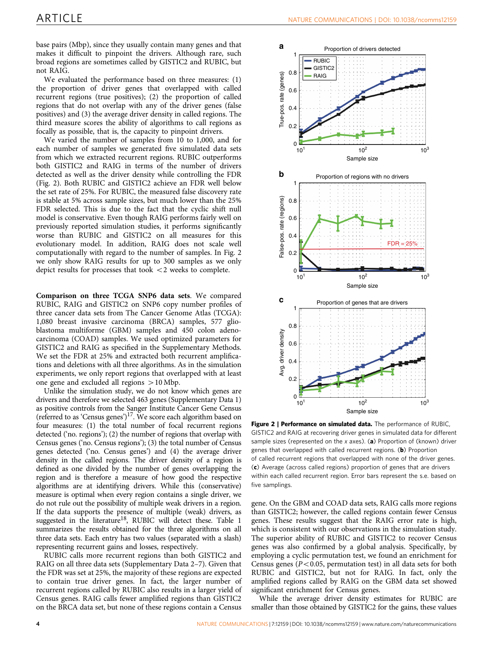<span id="page-4-0"></span>base pairs (Mbp), since they usually contain many genes and that makes it difficult to pinpoint the drivers. Although rare, such broad regions are sometimes called by GISTIC2 and RUBIC, but not RAIG.

We evaluated the performance based on three measures: (1) the proportion of driver genes that overlapped with called recurrent regions (true positives); (2) the proportion of called regions that do not overlap with any of the driver genes (false positives) and (3) the average driver density in called regions. The third measure scores the ability of algorithms to call regions as focally as possible, that is, the capacity to pinpoint drivers.

We varied the number of samples from 10 to 1,000, and for each number of samples we generated five simulated data sets from which we extracted recurrent regions. RUBIC outperforms both GISTIC2 and RAIG in terms of the number of drivers detected as well as the driver density while controlling the FDR (Fig. 2). Both RUBIC and GISTIC2 achieve an FDR well below the set rate of 25%. For RUBIC, the measured false discovery rate is stable at 5% across sample sizes, but much lower than the 25% FDR selected. This is due to the fact that the cyclic shift null model is conservative. Even though RAIG performs fairly well on previously reported simulation studies, it performs significantly worse than RUBIC and GISTIC2 on all measures for this evolutionary model. In addition, RAIG does not scale well computationally with regard to the number of samples. In Fig. 2 we only show RAIG results for up to 300 samples as we only depict results for processes that took  $<$  2 weeks to complete.

Comparison on three TCGA SNP6 data sets. We compared RUBIC, RAIG and GISTIC2 on SNP6 copy number profiles of three cancer data sets from The Cancer Genome Atlas (TCGA): 1,080 breast invasive carcinoma (BRCA) samples, 577 glioblastoma multiforme (GBM) samples and 450 colon adenocarcinoma (COAD) samples. We used optimized parameters for GISTIC2 and RAIG as specified in the Supplementary Methods. We set the FDR at 25% and extracted both recurrent amplifications and deletions with all three algorithms. As in the simulation experiments, we only report regions that overlapped with at least one gene and excluded all regions  $>10$  Mbp.

Unlike the simulation study, we do not know which genes are drivers and therefore we selected 463 genes (Supplementary Data 1) as positive controls from the Sanger Institute Cancer Gene Census (referred to as 'Census genes')<sup>17</sup>. We score each algorithm based on four measures: (1) the total number of focal recurrent regions detected ('no. regions'); (2) the number of regions that overlap with Census genes ('no. Census regions'); (3) the total number of Census genes detected ('no. Census genes') and (4) the average driver density in the called regions. The driver density of a region is defined as one divided by the number of genes overlapping the region and is therefore a measure of how good the respective algorithms are at identifying drivers. While this (conservative) measure is optimal when every region contains a single driver, we do not rule out the possibility of multiple weak drivers in a region. If the data supports the presence of multiple (weak) drivers, as suggested in the literature<sup>18</sup>, RUBIC will detect these. [Table 1](#page-5-0) summarizes the results obtained for the three algorithms on all three data sets. Each entry has two values (separated with a slash) representing recurrent gains and losses, respectively.

RUBIC calls more recurrent regions than both GISTIC2 and RAIG on all three data sets (Supplementary Data 2–7). Given that the FDR was set at 25%, the majority of these regions are expected to contain true driver genes. In fact, the larger number of recurrent regions called by RUBIC also results in a larger yield of Census genes. RAIG calls fewer amplified regions than GISTIC2 on the BRCA data set, but none of these regions contain a Census



Figure 2 | Performance on simulated data. The performance of RUBIC, GISTIC2 and RAIG at recovering driver genes in simulated data for different sample sizes (represented on the x axes). (a) Proportion of (known) driver genes that overlapped with called recurrent regions. (b) Proportion of called recurrent regions that overlapped with none of the driver genes. (c) Average (across called regions) proportion of genes that are drivers within each called recurrent region. Error bars represent the s.e. based on five samplings.

gene. On the GBM and COAD data sets, RAIG calls more regions than GISTIC2; however, the called regions contain fewer Census genes. These results suggest that the RAIG error rate is high, which is consistent with our observations in the simulation study. The superior ability of RUBIC and GISTIC2 to recover Census genes was also confirmed by a global analysis. Specifically, by employing a cyclic permutation test, we found an enrichment for Census genes ( $P < 0.05$ , permutation test) in all data sets for both RUBIC and GISTIC2, but not for RAIG. In fact, only the amplified regions called by RAIG on the GBM data set showed significant enrichment for Census genes.

While the average driver density estimates for RUBIC are smaller than those obtained by GISTIC2 for the gains, these values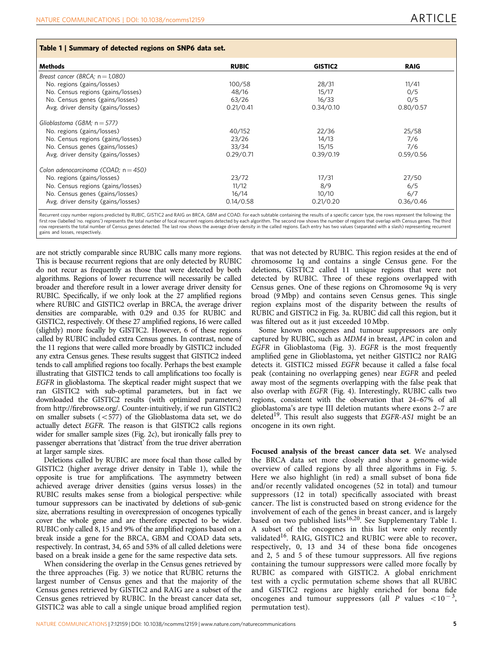#### <span id="page-5-0"></span>Table 1 | Summary of detected regions on SNP6 data set.

| <b>Methods</b>                          | <b>RUBIC</b> | GISTIC <sub>2</sub> | <b>RAIG</b> |
|-----------------------------------------|--------------|---------------------|-------------|
| Breast cancer (BRCA; $n = 1,080$ )      |              |                     |             |
| No. regions (gains/losses)              | 100/58       | 28/31               | 11/41       |
| No. Census regions (gains/losses)       | 48/16        | 15/17               | 0/5         |
| No. Census genes (gains/losses)         | 63/26        | 16/33               | 0/5         |
| Avg. driver density (gains/losses)      | 0.21/0.41    | 0.34/0.10           | 0.80/0.57   |
| Glioblastoma (GBM; $n = 577$ )          |              |                     |             |
| No. regions (gains/losses)              | 40/152       | 22/36               | 25/58       |
| No. Census regions (gains/losses)       | 23/26        | 14/13               | 7/6         |
| No. Census genes (gains/losses)         | 33/34        | 15/15               | 7/6         |
| Avg. driver density (gains/losses)      | 0.29/0.71    | 0.39/0.19           | 0.59/0.56   |
| Colon adenocarcinoma (COAD: $n = 450$ ) |              |                     |             |
| No. regions (gains/losses)              | 23/72        | 17/31               | 27/50       |
| No. Census regions (gains/losses)       | 11/12        | 8/9                 | 6/5         |
| No. Census genes (gains/losses)         | 16/14        | 10/10               | 6/7         |
| Avg. driver density (gains/losses)      | 0.14/0.58    | 0.21/0.20           | 0.36/0.46   |

ecurrent copy number regions predicted by RUBIC, GISTIC2 and RAIG on BRCA, GBM and COAD. For each subtable containing the results of a specific cancer type, the rows represent the following: the first row (labelled 'no. regions') represents the total number of focal recurrent regions detected by each algorithm. The second row shows the number of regions that overlap with Census genes. The third row represents the total number of Census genes detected. The last row shows the average driver density in the called regions. Each entry has two values (separated with a slash) representing recurrent gains and losses, respectively.

are not strictly comparable since RUBIC calls many more regions. This is because recurrent regions that are only detected by RUBIC do not recur as frequently as those that were detected by both algorithms. Regions of lower recurrence will necessarily be called broader and therefore result in a lower average driver density for RUBIC. Specifically, if we only look at the 27 amplified regions where RUBIC and GISTIC2 overlap in BRCA, the average driver densities are comparable, with 0.29 and 0.35 for RUBIC and GISTIC2, respectively. Of these 27 amplified regions, 16 were called (slightly) more focally by GISTIC2. However, 6 of these regions called by RUBIC included extra Census genes. In contrast, none of the 11 regions that were called more broadly by GISTIC2 included any extra Census genes. These results suggest that GISTIC2 indeed tends to call amplified regions too focally. Perhaps the best example illustrating that GISTIC2 tends to call amplifications too focally is EGFR in glioblastoma. The skeptical reader might suspect that we ran GISTIC2 with sub-optimal parameters, but in fact we downloaded the GISTIC2 results (with optimized parameters) from [http://firebrowse.org/.](http://firebrowse.org/) Counter-intuitively, if we run GISTIC2 on smaller subsets  $(<577)$  of the Glioblastoma data set, we do actually detect EGFR. The reason is that GISTIC2 calls regions wider for smaller sample sizes [\(Fig. 2c\)](#page-4-0), but ironically falls prey to passenger aberrations that 'distract' from the true driver aberration at larger sample sizes.

Deletions called by RUBIC are more focal than those called by GISTIC2 (higher average driver density in Table 1), while the opposite is true for amplifications. The asymmetry between achieved average driver densities (gains versus losses) in the RUBIC results makes sense from a biological perspective: while tumour suppressors can be inactivated by deletions of sub-genic size, aberrations resulting in overexpression of oncogenes typically cover the whole gene and are therefore expected to be wider. RUBIC only called 8, 15 and 9% of the amplified regions based on a break inside a gene for the BRCA, GBM and COAD data sets, respectively. In contrast, 34, 65 and 53% of all called deletions were based on a break inside a gene for the same respective data sets.

When considering the overlap in the Census genes retrieved by the three approaches ([Fig. 3\)](#page-6-0) we notice that RUBIC returns the largest number of Census genes and that the majority of the Census genes retrieved by GISTIC2 and RAIG are a subset of the Census genes retrieved by RUBIC. In the breast cancer data set, GISTIC2 was able to call a single unique broad amplified region

that was not detected by RUBIC. This region resides at the end of chromosome 1q and contains a single Census gene. For the deletions, GISTIC2 called 11 unique regions that were not detected by RUBIC. Three of these regions overlapped with Census genes. One of these regions on Chromosome 9q is very broad (9 Mbp) and contains seven Census genes. This single region explains most of the disparity between the results of RUBIC and GISTIC2 in [Fig. 3a.](#page-6-0) RUBIC did call this region, but it was filtered out as it just exceeded 10 Mbp.

Some known oncogenes and tumour suppressors are only captured by RUBIC, such as MDM4 in breast, APC in colon and EGFR in Glioblastoma ([Fig. 3\)](#page-6-0). EGFR is the most frequently amplified gene in Glioblastoma, yet neither GISTIC2 nor RAIG detects it. GISTIC2 missed EGFR because it called a false focal peak (containing no overlapping genes) near EGFR and peeled away most of the segments overlapping with the false peak that also overlap with EGFR ([Fig. 4\)](#page-6-0). Interestingly, RUBIC calls two regions, consistent with the observation that 24–67% of all glioblastoma's are type III deletion mutants where exons 2–7 are deleted<sup>19</sup>. This result also suggests that  $EGFR-ASI$  might be an oncogene in its own right.

Focused analysis of the breast cancer data set. We analysed the BRCA data set more closely and show a genome-wide overview of called regions by all three algorithms in [Fig. 5.](#page-7-0) Here we also highlight (in red) a small subset of bona fide and/or recently validated oncogenes (52 in total) and tumour suppressors (12 in total) specifically associated with breast cancer. The list is constructed based on strong evidence for the involvement of each of the genes in breast cancer, and is largely based on two published lists<sup>16,20</sup>. See Supplementary Table 1. A subset of the oncogenes in this list were only recently validated<sup>[16](#page-10-0)</sup>. RAIG, GISTIC2 and RUBIC were able to recover, respectively, 0, 13 and 34 of these bona fide oncogenes and 2, 5 and 5 of these tumour suppressors. All five regions containing the tumour suppressors were called more focally by RUBIC as compared with GISTIC2. A global enrichment test with a cyclic permutation scheme shows that all RUBIC and GISTIC2 regions are highly enriched for bona fide oncogenes and tumour suppressors (all P values  $< 10^{-3}$ , permutation test).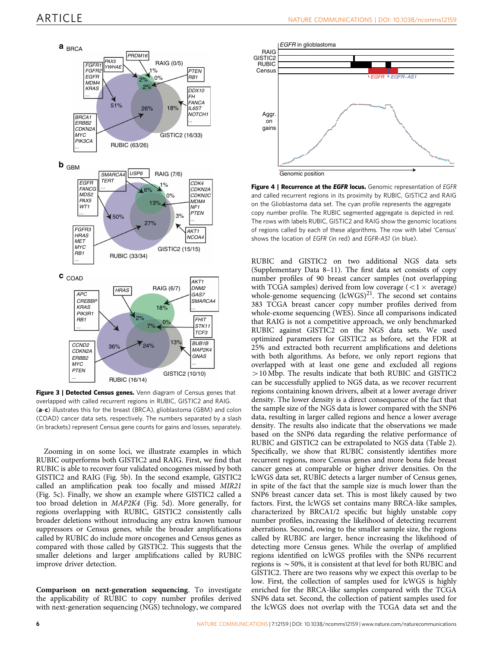<span id="page-6-0"></span>



Figure 3 | Detected Census genes. Venn diagram of Census genes that overlapped with called recurrent regions in RUBIC, GISTIC2 and RAIG. (a–c) illustrates this for the breast (BRCA), glioblastoma (GBM) and colon (COAD) cancer data sets, respectively. The numbers separated by a slash (in brackets) represent Census gene counts for gains and losses, separately.

Zooming in on some loci, we illustrate examples in which RUBIC outperforms both GISTIC2 and RAIG. First, we find that RUBIC is able to recover four validated oncogenes missed by both GISTIC2 and RAIG ([Fig. 5b\)](#page-7-0). In the second example, GISTIC2 called an amplification peak too focally and missed MIR21 ([Fig. 5c\)](#page-7-0). Finally, we show an example where GISTIC2 called a too broad deletion in MAP2K4 [\(Fig. 5d\)](#page-7-0). More generally, for regions overlapping with RUBIC, GISTIC2 consistently calls broader deletions without introducing any extra known tumour suppressors or Census genes, while the broader amplifications called by RUBIC do include more oncogenes and Census genes as compared with those called by GISTIC2. This suggests that the smaller deletions and larger amplifications called by RUBIC improve driver detection.

Comparison on next-generation sequencing. To investigate the applicability of RUBIC to copy number profiles derived with next-generation sequencing (NGS) technology, we compared



Figure 4 | Recurrence at the EGFR locus. Genomic representation of EGFR and called recurrent regions in its proximity by RUBIC, GISTIC2 and RAIG on the Glioblastoma data set. The cyan profile represents the aggregate copy number profile. The RUBIC segmented aggregate is depicted in red. The rows with labels RUBIC, GISTIC2 and RAIG show the genomic locations of regions called by each of these algorithms. The row with label 'Census' shows the location of EGFR (in red) and EGFR-AS1 (in blue).

RUBIC and GISTIC2 on two additional NGS data sets (Supplementary Data 8–11). The first data set consists of copy number profiles of 90 breast cancer samples (not overlapping with TCGA samples) derived from low coverage  $(< 1 \times$  average) whole-genome sequencing  $(lcWGS)^{21}$ . The second set contains 383 TCGA breast cancer copy number profiles derived from whole-exome sequencing (WES). Since all comparisons indicated that RAIG is not a competitive approach, we only benchmarked RUBIC against GISTIC2 on the NGS data sets. We used optimized parameters for GISTIC2 as before, set the FDR at 25% and extracted both recurrent amplifications and deletions with both algorithms. As before, we only report regions that overlapped with at least one gene and excluded all regions 410 Mbp. The results indicate that both RUBIC and GISTIC2 can be successfully applied to NGS data, as we recover recurrent regions containing known drivers, albeit at a lower average driver density. The lower density is a direct consequence of the fact that the sample size of the NGS data is lower compared with the SNP6 data, resulting in larger called regions and hence a lower average density. The results also indicate that the observations we made based on the SNP6 data regarding the relative performance of RUBIC and GISTIC2 can be extrapolated to NGS data [\(Table 2](#page-7-0)). Specifically, we show that RUBIC consistently identifies more recurrent regions, more Census genes and more bona fide breast cancer genes at comparable or higher driver densities. On the lcWGS data set, RUBIC detects a larger number of Census genes, in spite of the fact that the sample size is much lower than the SNP6 breast cancer data set. This is most likely caused by two factors. First, the lcWGS set contains many BRCA-like samples, characterized by BRCA1/2 specific but highly unstable copy number profiles, increasing the likelihood of detecting recurrent aberrations. Second, owing to the smaller sample size, the regions called by RUBIC are larger, hence increasing the likelihood of detecting more Census genes. While the overlap of amplified regions identified on lcWGS profiles with the SNP6 recurrent regions is  $\sim$  50%, it is consistent at that level for both RUBIC and GISTIC2. There are two reasons why we expect this overlap to be low. First, the collection of samples used for lcWGS is highly enriched for the BRCA-like samples compared with the TCGA SNP6 data set. Second, the collection of patient samples used for the lcWGS does not overlap with the TCGA data set and the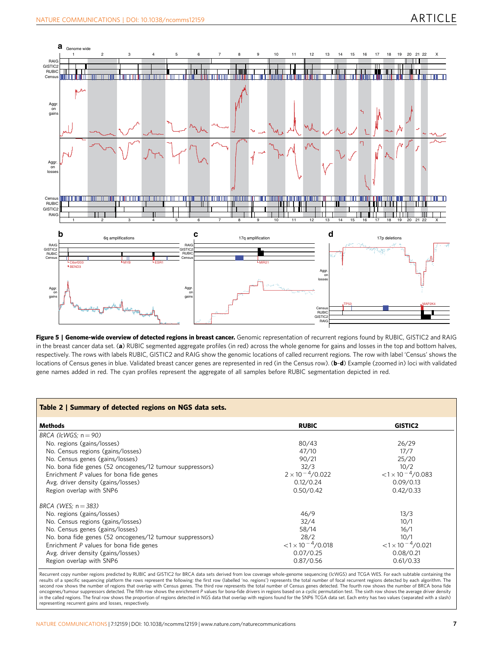<span id="page-7-0"></span>

Figure 5 | Genome-wide overview of detected regions in breast cancer. Genomic representation of recurrent regions found by RUBIC, GISTIC2 and RAIG in the breast cancer data set. (a) RUBIC segmented aggregate profiles (in red) across the whole genome for gains and losses in the top and bottom halves, respectively. The rows with labels RUBIC, GISTIC2 and RAIG show the genomic locations of called recurrent regions. The row with label 'Census' shows the locations of Census genes in blue. Validated breast cancer genes are represented in red (in the Census row). (b-d) Example (zoomed in) loci with validated gene names added in red. The cyan profiles represent the aggregate of all samples before RUBIC segmentation depicted in red.

| Table 2   Summary of detected regions on NGS data sets.  |                                  |                                  |  |  |  |
|----------------------------------------------------------|----------------------------------|----------------------------------|--|--|--|
| Methods                                                  | <b>RUBIC</b>                     | GISTIC <sub>2</sub>              |  |  |  |
| BRCA ( $lcWGS$ ; $n = 90$ )                              |                                  |                                  |  |  |  |
| No. regions (gains/losses)                               | 80/43                            | 26/29                            |  |  |  |
| No. Census regions (gains/losses)                        | 47/10                            | 17/7                             |  |  |  |
| No. Census genes (gains/losses)                          | 90/21                            | 25/20                            |  |  |  |
| No. bona fide genes (52 oncogenes/12 tumour suppressors) | 32/3                             | 10/2                             |  |  |  |
| Enrichment P values for bona fide genes                  | $2 \times 10^{-4} / 0.022$       | $<$ 1 $\times$ 10 $^{-4}$ /0.083 |  |  |  |
| Avg. driver density (gains/losses)                       | 0.12/0.24                        | 0.09/0.13                        |  |  |  |
| Region overlap with SNP6                                 | 0.50/0.42                        | 0.42/0.33                        |  |  |  |
| BRCA (WES; $n = 383$ )                                   |                                  |                                  |  |  |  |
| No. regions (gains/losses)                               | 46/9                             | 13/3                             |  |  |  |
| No. Census regions (gains/losses)                        | 32/4                             | 10/1                             |  |  |  |
| No. Census genes (gains/losses)                          | 58/14                            | 16/1                             |  |  |  |
| No. bona fide genes (52 oncogenes/12 tumour suppressors) | 28/2                             | 10/1                             |  |  |  |
| Enrichment P values for bona fide genes                  | $<$ 1 $\times$ 10 $^{-4}$ /0.018 | $<$ 1 $\times$ 10 $^{-4}$ /0.021 |  |  |  |
| Avg. driver density (gains/losses)                       | 0.07/0.25                        | 0.08/0.21                        |  |  |  |
| Region overlap with SNP6                                 | 0.87/0.56                        | 0.61/0.33                        |  |  |  |

Recurrent copy number regions predicted by RUBIC and GISTIC2 for BRCA data sets derived from low coverage whole-genome sequencing (IcWGS) and TCGA WES. For each subtable containing the<br>results of a specific sequencing plat second row shows the number of regions that overlap with Census genes. The third row represents the total number of Census genes detected. The fourth row shows the number of BRCA bona fide oncogenes/tumour suppressors detected. The fifth row shows the enrichment P values for bona-fide drivers in regions based on a cyclic permutation test. The sixth row shows the average driver density<br>in the called regions. representing recurrent gains and losses, respectively.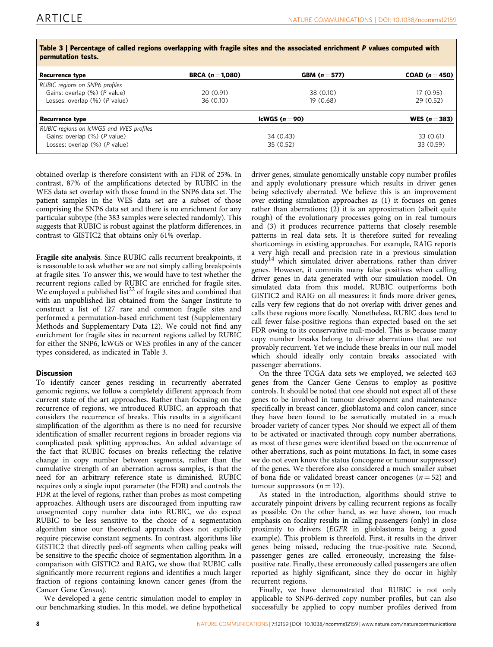| Recurrence type                         | <b>BRCA</b> ( $n = 1,080$ ) | <b>GBM</b> ( $n = 577$ ) | COAD ( $n = 450$ ) |
|-----------------------------------------|-----------------------------|--------------------------|--------------------|
| RUBIC regions on SNP6 profiles          |                             |                          |                    |
| Gains: overlap (%) (P value)            | 20(0.91)                    | 38 (0.10)                | 17 (0.95)          |
| Losses: overlap (%) (P value)           | 36(0.10)                    | 19(0.68)                 | 29 (0.52)          |
| Recurrence type                         |                             | $lcWGS(n=90)$            |                    |
| RUBIC regions on IcWGS and WES profiles |                             |                          |                    |
| Gains: overlap (%) (P value)            |                             | 34 (0.43)                |                    |
| Losses: overlap (%) (P value)           |                             | 35 (0.52)                |                    |

Table 3 | Percentage of called regions overlapping with fragile sites and the associated enrichment P values computed with permutation tests.

obtained overlap is therefore consistent with an FDR of 25%. In contrast, 87% of the amplifications detected by RUBIC in the WES data set overlap with those found in the SNP6 data set. The patient samples in the WES data set are a subset of those comprising the SNP6 data set and there is no enrichment for any particular subtype (the 383 samples were selected randomly). This suggests that RUBIC is robust against the platform differences, in contrast to GISTIC2 that obtains only 61% overlap.

Fragile site analysis. Since RUBIC calls recurrent breakpoints, it is reasonable to ask whether we are not simply calling breakpoints at fragile sites. To answer this, we would have to test whether the recurrent regions called by RUBIC are enriched for fragile sites. We employed a published list<sup>[22](#page-10-0)</sup> of fragile sites and combined that with an unpublished list obtained from the Sanger Institute to construct a list of 127 rare and common fragile sites and performed a permutation-based enrichment test (Supplementary Methods and Supplementary Data 12). We could not find any enrichment for fragile sites in recurrent regions called by RUBIC for either the SNP6, lcWGS or WES profiles in any of the cancer types considered, as indicated in Table 3.

#### **Discussion**

To identify cancer genes residing in recurrently aberrated genomic regions, we follow a completely different approach from current state of the art approaches. Rather than focusing on the recurrence of regions, we introduced RUBIC, an approach that considers the recurrence of breaks. This results in a significant simplification of the algorithm as there is no need for recursive identification of smaller recurrent regions in broader regions via complicated peak splitting approaches. An added advantage of the fact that RUBIC focuses on breaks reflecting the relative change in copy number between segments, rather than the cumulative strength of an aberration across samples, is that the need for an arbitrary reference state is diminished. RUBIC requires only a single input parameter (the FDR) and controls the FDR at the level of regions, rather than probes as most competing approaches. Although users are discouraged from inputting raw unsegmented copy number data into RUBIC, we do expect RUBIC to be less sensitive to the choice of a segmentation algorithm since our theoretical approach does not explicitly require piecewise constant segments. In contrast, algorithms like GISTIC2 that directly peel-off segments when calling peaks will be sensitive to the specific choice of segmentation algorithm. In a comparison with GISTIC2 and RAIG, we show that RUBIC calls significantly more recurrent regions and identifies a much larger fraction of regions containing known cancer genes (from the Cancer Gene Census).

We developed a gene centric simulation model to employ in our benchmarking studies. In this model, we define hypothetical

driver genes, simulate genomically unstable copy number profiles and apply evolutionary pressure which results in driver genes being selectively aberrated. We believe this is an improvement over existing simulation approaches as (1) it focuses on genes rather than aberrations; (2) it is an approximation (albeit quite rough) of the evolutionary processes going on in real tumours and (3) it produces recurrence patterns that closely resemble patterns in real data sets. It is therefore suited for revealing shortcomings in existing approaches. For example, RAIG reports a very high recall and precision rate in a previous simulation study<sup>[14](#page-10-0)</sup> which simulated driver aberrations, rather than driver genes. However, it commits many false positives when calling driver genes in data generated with our simulation model. On simulated data from this model, RUBIC outperforms both GISTIC2 and RAIG on all measures: it finds more driver genes, calls very few regions that do not overlap with driver genes and calls these regions more focally. Nonetheless, RUBIC does tend to call fewer false-positive regions than expected based on the set FDR owing to its conservative null-model. This is because many copy number breaks belong to driver aberrations that are not provably recurrent. Yet we include these breaks in our null model which should ideally only contain breaks associated with passenger aberrations.

On the three TCGA data sets we employed, we selected 463 genes from the Cancer Gene Census to employ as positive controls. It should be noted that one should not expect all of these genes to be involved in tumour development and maintenance specifically in breast cancer, glioblastoma and colon cancer, since they have been found to be somatically mutated in a much broader variety of cancer types. Nor should we expect all of them to be activated or inactivated through copy number aberrations, as most of these genes were identified based on the occurrence of other aberrations, such as point mutations. In fact, in some cases we do not even know the status (oncogene or tumour suppressor) of the genes. We therefore also considered a much smaller subset of bona fide or validated breast cancer oncogenes  $(n = 52)$  and tumour suppressors  $(n = 12)$ .

As stated in the introduction, algorithms should strive to accurately pinpoint drivers by calling recurrent regions as focally as possible. On the other hand, as we have shown, too much emphasis on focality results in calling passengers (only) in close proximity to drivers (EGFR in glioblastoma being a good example). This problem is threefold. First, it results in the driver genes being missed, reducing the true-positive rate. Second, passenger genes are called erroneously, increasing the falsepositive rate. Finally, these erroneously called passengers are often reported as highly significant, since they do occur in highly recurrent regions.

Finally, we have demonstrated that RUBIC is not only applicable to SNP6-derived copy number profiles, but can also successfully be applied to copy number profiles derived from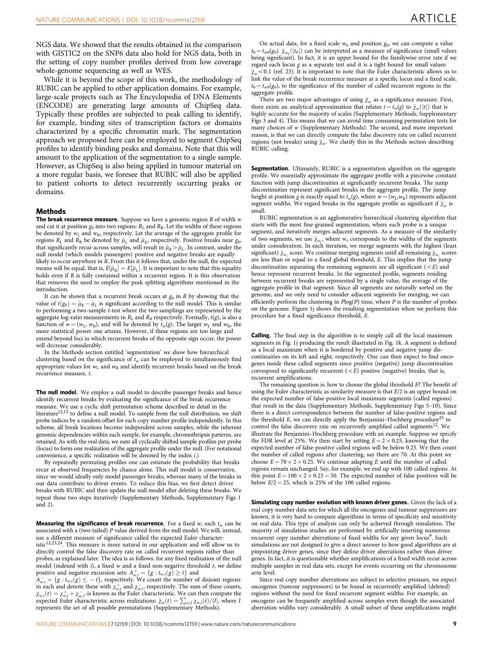NGS data. We showed that the results obtained in the comparison with GISTIC2 on the SNP6 data also hold for NGS data, both in the setting of copy number profiles derived from low coverage whole-genome sequencing as well as WES.

While it is beyond the scope of this work, the methodology of RUBIC can be applied to other application domains. For example, large-scale projects such as The Encyclopedia of DNA Elements (ENCODE) are generating large amounts of ChipSeq data. Typically these profiles are subjected to peak calling to identify, for example, binding sites of transcription factors or domains characterized by a specific chromatin mark. The segmentation approach we proposed here can be employed to segment ChipSeq profiles to identify binding peaks and domains. Note that this will amount to the application of the segmentation to a single sample. However, as ChipSeq is also being applied in tumour material on a more regular basis, we foresee that RUBIC will also be applied to patient cohorts to detect recurrently occurring peaks or domains.

#### **Methods**

The break recurrence measure. Suppose we have a genomic region  $R$  of width  $w$ and cut it at position  $g_0$  into two regions:  $R_L$  and  $R_R$ . Let the widths of these regions be denoted by  $w_L$  and  $w_R$ , respectively. Let the average of the aggregate profile for regions  $R_L$  and  $R_R$  be denoted by  $\hat{\mu}_L$  and  $\hat{\mu}_R$ , respectively. Positive breaks near  $g_0$ , that significantly recur across samples, will result in  $\hat{\mu}_R > \hat{\mu}_L$ . In contrast, under the null model (which models passengers) positive and negative breaks are equally likely to occur anywhere in R. From this it follows that, under the null, the expected means will be equal, that is,  $E[\hat{\mu}_R] = E[\hat{\mu}_L]$ . It is important to note that this equality holds even if R is fully contained within a recurrent region. It is this observation that removes the need to employ the peak splitting algorithms mentioned in the introduction.

It can be shown that a recurrent break occurs at  $g_0$  in R by showing that the value of  $t(g_0) = \hat{\mu}_R - \hat{\mu}_L$  is significant according to the null model. This is similar to performing a two-sample t-test where the two samplings are represented by the aggregate log-ratio measurements in  $R_L$  and  $R_R$  respectively. Formally,  $t(g)$ , is also a function of  $w = (w_L, w_R)$ , and will be denoted by  $t_w(g)$ . The larger  $w_L$  and  $w_R$ , the more statistical power one attains. However, if these regions are too large and extend beyond loci in which recurrent breaks of the opposite sign occur, the power will decrease considerably.

In the Methods section entitled 'segmentation' we show how hierarchical clustering based on the significance of  $t_w$  can be employed to simultaneously find appropriate values for  $w_L$  and  $w_R$  and identify recurrent breaks based on the break recurrence measure, t.

The null model. We employ a null model to describe passenger breaks and hence identify recurrent breaks by evaluating the significance of the break recurrence measure. We use a cyclic shift permutation scheme described in detail in the literatur[e12,13](#page-10-0) to define a null model. To sample from the null distribution, we shift probe indices by a random offset for each copy number profile independently. In this scheme, all break locations become independent across samples, while the inherent genomic dependencies within each sample, for example, chromothripsis patterns, are retained. As with the real data, we sum all cyclically shifted sample profiles per probe (locus) to form one realization of the aggregate profile under the null. (For notational convenience, a specific realization will be denoted by the index *i*.)

By repeatedly permuting profiles one can estimate the probability that breaks recur at observed frequencies by chance alone. This null model is conservative, since we would ideally only model passenger breaks, whereas many of the breaks in our data contribute to driver events. To reduce this bias, we first detect driver breaks with RUBIC and then update the null model after deleting these breaks. We repeat these two steps iteratively (Supplementary Methods, Supplementary Figs 1 and 2).

**Measuring the significance of break recurrence.** For a fixed w, each  $t_w$  can be associated with a (two-tailed) P value derived from the null model. We will, instead, use a different measure of significance called the expected Euler character-istic<sup>[12,23,24](#page-10-0)</sup>. This measure is more natural in our application and will allow us to directly control the false discovery rate on called recurrent regions rather than probes, as explained later. The idea is as follows: for any fixed realization of the null model (indexed with  $i$ ), a fixed  $w$  and a fixed non-negative threshold  $t$ , we define positive and negative excursion sets:  $A_{w,i}^+ = \{g : t_{w,i}(\bar{g}) \geq t\}$  and

 $\bar{A}_{w,i}^- = \{g : t_{w,i}(\bar{g}) \leq -t\}$ , respectively. We count the number of disjoint regions in each and denote these with  $\chi_{w,i}^+$  and  $\chi_{w,i}^-$ , respectively. The sum of these counts,  $\chi_{w,i}(t) = \chi_{w,i}^+ + \chi_{w,i}^-$ , is known as the Euler characteristic. We can then compute the  $\chi_{w,l}^{(k)} = \chi_{w,l} + \chi_{w,l}^{(k)}$  is known as the Euler characteristic. We can then compute the expected Euler characteristic across realizations:  $\bar{\chi}_w(t) = \sum_{i \in I} \chi_{w,i}(t)/|I|$ , where I represents the set of all possible permutations (Supplementary Methods).

On actual data, for a fixed scale  $w_0$  and position  $g_0$ , we can compute a value  $t_0 = t_{w0}(g_0)$ .  $\bar{\chi}_{w_0}(|t_0|)$  can be interpreted as a measure of significance (small values being significant). In fact, it is an upper bound for the familywise error rate if we regard each locus g as a separate test and it is a tight bound for small values:  $\bar{\chi}_w$  < 0.1 ([ref. 23](#page-10-0)). It is important to note that the Euler characteristic allows us to link the value of the break recurrence measure at a specific locus and a fixed scale,  $t_0 = t_{w0}(g_0)$ , to the significance of the number of called recurrent regions in the aggregate profile.

There are two major advantages of using  $\bar{\chi}_w$  as a significance measure. First, there exists an analytical approximation that relates  $t = t_w(g)$  to  $\bar{\chi}_w(|t|)$  that is highly accurate for the majority of scales (Supplementary Methods, Supplementary Figs 3 and 4). This means that we can avoid time consuming permutation tests for many choices of  $w$  (Supplementary Methods). The second, and more important reason, is that we can directly compute the false discovery rate on called recurrent regions (not breaks) using  $\bar{\chi}_w$ . We clarify this in the Methods section describing RUBIC calling.

Segmentation. Ultimately, RUBIC is a segmentation algorithm on the aggregate profile. We essentially approximate the aggregate profile with a piecewise constant function with jump discontinuities at significantly recurrent breaks. The jump discontinuities represent significant breaks in the aggregate profile. The jump height at position g is exactly equal to  $t_w(g)$ , where  $w = (w_L, w_R)$  represents adjacent segment widths. We regard breaks in the aggregate profile as significant if  $\bar{\chi}_w$  is small.

RUBIC segmentation is an agglomerative hierarchical clustering algorithm that starts with the most fine-grained segmentation, where each probe is a unique segment, and iteratively merges adjacent segments. As a measure of the similarity of two segments, we use  $\bar{\chi}_{w_2}$ , where  $w_s$  corresponds to the widths of the segments under consideration. In each iteration, we merge segments with the highest (least significant)  $\bar{\chi}_{w_s}$  score. We continue merging segments until all remaining  $\bar{\chi}_{w_s}$  scores are less than or equal to a fixed global threshold, E. This implies that the jump discontinuities separating the remaining segments are all significant  $(*E*)$  and hence represent recurrent breaks. In the segmented profile, segments residing between recurrent breaks are represented by a single value, the average of the aggregate profile in that segment. Since all segments are naturally sorted on the genome, and we only need to consider adjacent segments for merging, we can efficiently perform the clustering in  $P\log(P)$  time, where P is the number of probes on the genome. [Figure 1j](#page-3-0) shows the resulting segmentation when we perform this procedure for a fixed significance threshold, E.

Calling. The final step in the algorithm is to simply call all the local maximum segments in [Fig. 1j](#page-3-0) producing the result illustrated in [Fig. 1k](#page-3-0). A segment is defined as a local maximum when it is bordered by positive and negative jump discontinuities on its left and right, respectively. One can then expect to find oncogenes inside these called segments since positive (negative) jump discontinuities correspond to significantly recurrent  $(*E*)$  positive (negative) breaks, that is, recurrent amplifications.

The remaining question is: how to choose the global threshold E? The benefit of using the Euler characteristic as similarity measure is that E/2 is an upper bound on the expected number of false-positive local maximum segments (called regions) that result in the data (Supplementary Methods, Supplementary Figs 5–10). Since there is a direct correspondence between the number of false-positive regions and the threshold E, we can directly apply the Benjamini-Hochberg procedure<sup>[25](#page-10-0)</sup> to control the false discovery rate on recurrently amplified called segments<sup>12</sup>. We illustrate the Benjamini–Hochberg procedure with an example. Suppose we specify the FDR level at 25%. We then start by setting  $E = 2 \times 0.25$ , knowing that the expected number of false-positive called regions will be below 0.25. We then count the number of called regions after clustering, say there are 70. At this point we choose  $E = 70 \times 2 \times 0.25$ . We continue adapting E until the number of called regions remain unchanged. Say, for example, we end up with 100 called regions. At this point  $E = 100 \times 2 \times 0.25 = 50$ . The expected number of false positives will be below  $E/2 = 25$ , which is 25% of the 100 called regions.

Simulating copy number evolution with known driver genes. Given the lack of a real copy number data sets for which all the oncogenes and tumour suppressors are known, it is very hard to compare algorithms in terms of specificity and sensitivity on real data. This type of analysis can only be achieved through simulation. The majority of simulation studies are performed by artificially inserting numerous recurrent copy number aberrations of fixed widths for any given locus<sup>[9](#page-10-0)</sup>. Such simulations are not designed to give a direct answer to how good algorithms are at pinpointing driver genes, since they define driver aberrations rather than driver genes. In fact, it is questionable whether amplifications of a fixed width recur across multiple samples in real data sets, except for events occurring on the chromosome arm level.

Since real copy number aberrations are subject to selective pressure, we expect oncogenes (tumour suppressors) to be found in recurrently amplified (deleted) regions without the need for fixed recurrent segment widths. For example, an oncogene can be frequently amplified across samples even though the associated aberration widths vary considerably. A small subset of these amplifications might